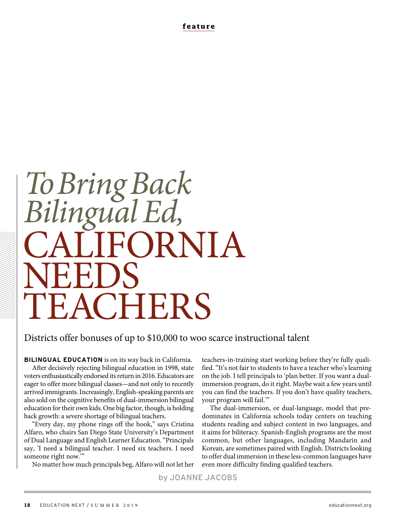**feature**

# CALIFORNIA NEEDS<br>TIP 4.011 **CHERS** *To Bring Back Bilingual Ed,*

## Districts offer bonuses of up to \$10,000 to woo scarce instructional talent

**BILINGUAL EDUCATION** is on its way back in California. After decisively rejecting bilingual education in 1998, state voters enthusiastically endorsed its return in 2016. Educators are eager to offer more bilingual classes—and not only to recently arrived immigrants. Increasingly, English-speaking parents are also sold on the cognitive benefits of dual-immersion bilingual education for their own kids. One big factor, though, is holding back growth: a severe shortage of bilingual teachers.

"Every day, my phone rings off the hook," says Cristina Alfaro, who chairs San Diego State University's Department of Dual Language and English Learner Education. "Principals say, 'I need a bilingual teacher. I need six teachers. I need someone right now.'"

No matter how much principals beg, Alfaro will not let her

teachers-in-training start working before they're fully qualified. "It's not fair to students to have a teacher who's learning on the job. I tell principals to 'plan better. If you want a dualimmersion program, do it right. Maybe wait a few years until you can find the teachers. If you don't have quality teachers, your program will fail.'"

The dual-immersion, or dual-language, model that predominates in California schools today centers on teaching students reading and subject content in two languages, and it aims for biliteracy. Spanish-English programs are the most common, but other languages, including Mandarin and Korean, are sometimes paired with English. Districts looking to offer dual immersion in these less-common languages have even more difficulty finding qualified teachers.

by JOANNE JACOBS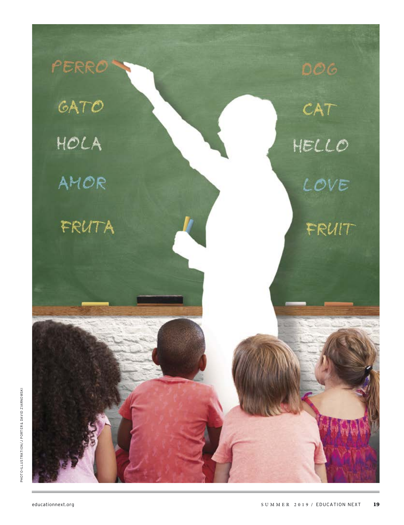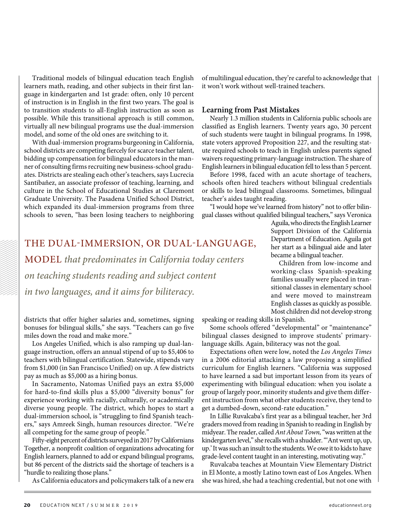Traditional models of bilingual education teach English learners math, reading, and other subjects in their first language in kindergarten and 1st grade: often, only 10 percent of instruction is in English in the first two years. The goal is to transition students to all-English instruction as soon as possible. While this transitional approach is still common, virtually all new bilingual programs use the dual-immersion model, and some of the old ones are switching to it.

With dual-immersion programs burgeoning in California, school districts are competing fiercely for scarce teacher talent, bidding up compensation for bilingual educators in the manner of consulting firms recruiting new business-school graduates. Districts are stealing each other's teachers, says Lucrecia Santibañez, an associate professor of teaching, learning, and culture in the School of Educational Studies at Claremont Graduate University. The Pasadena Unified School District, which expanded its dual-immersion programs from three schools to seven, "has been losing teachers to neighboring

of multilingual education, they're careful to acknowledge that it won't work without well-trained teachers.

#### **Learning from Past Mistakes**

Nearly 1.3 million students in California public schools are classified as English learners. Twenty years ago, 30 percent of such students were taught in bilingual programs. In 1998, state voters approved Proposition 227, and the resulting statute required schools to teach in English unless parents signed waivers requesting primary-language instruction. The share of English learners in bilingual education fell to less than 5 percent.

Before 1998, faced with an acute shortage of teachers, schools often hired teachers without bilingual credentials or skills to lead bilingual classrooms. Sometimes, bilingual teacher's aides taught reading.

"I would hope we've learned from history" not to offer bilingual classes without qualified bilingual teachers," says Veronica

# THE DUAL-IMMERSION, OR DUAL-LANGUAGE, MODEL *that predominates in California today centers on teaching students reading and subject content in two languages, and it aims for biliteracy.*

districts that offer higher salaries and, sometimes, signing bonuses for bilingual skills," she says. "Teachers can go five miles down the road and make more."

Los Angeles Unified, which is also ramping up dual-language instruction, offers an annual stipend of up to \$5,406 to teachers with bilingual certification. Statewide, stipends vary from \$1,000 (in San Francisco Unified) on up. A few districts pay as much as \$5,000 as a hiring bonus.

In Sacramento, Natomas Unified pays an extra \$5,000 for hard-to-find skills plus a \$5,000 "diversity bonus" for experience working with racially, culturally, or academically diverse young people. The district, which hopes to start a dual-immersion school, is "struggling to find Spanish teachers," says Amreek Singh, human resources director. "We're all competing for the same group of people."

Fifty-eight percent of districts surveyed in 2017 by Californians Together, a nonprofit coalition of organizations advocating for English learners, planned to add or expand bilingual programs, but 86 percent of the districts said the shortage of teachers is a "hurdle to realizing those plans."

As California educators and policymakers talk of a new era

Children from low-income and working-class Spanish-speaking families usually were placed in transitional classes in elementary school

became a bilingual teacher.

and were moved to mainstream English classes as quickly as possible. Most children did not develop strong

Aguila, who directs the English Learner Support Division of the California Department of Education. Aguila got her start as a bilingual aide and later

speaking or reading skills in Spanish.

Some schools offered "developmental" or "maintenance" bilingual classes designed to improve students' primarylanguage skills. Again, biliteracy was not the goal.

Expectations often were low, noted the *Los Angeles Times*  in a 2006 editorial attacking a law proposing a simplified curriculum for English learners. "California was supposed to have learned a sad but important lesson from its years of experimenting with bilingual education: when you isolate a group of largely poor, minority students and give them different instruction from what other students receive, they tend to get a dumbed-down, second-rate education."

In Lillie Ruvalcaba's first year as a bilingual teacher, her 3rd graders moved from reading in Spanish to reading in English by midyear. The reader, called *Ant About Town,* "was written at the kindergarten level," she recalls with a shudder. "'Ant went up, up, up.' It was such an insult to the students. We owe it to kids to have grade-level content taught in an interesting, motivating way."

Ruvalcaba teaches at Mountain View Elementary District in El Monte, a mostly Latino town east of Los Angeles. When she was hired, she had a teaching credential, but not one with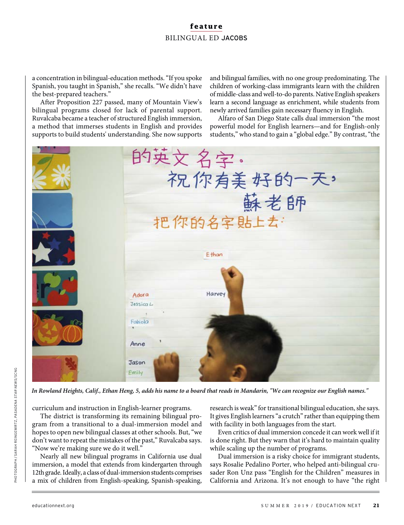a concentration in bilingual-education methods. "If you spoke Spanish, you taught in Spanish," she recalls. "We didn't have the best-prepared teachers."

After Proposition 227 passed, many of Mountain View's bilingual programs closed for lack of parental support. Ruvalcaba became a teacher of structured English immersion, a method that immerses students in English and provides supports to build students' understanding. She now supports

and bilingual families, with no one group predominating. The children of working-class immigrants learn with the children of middle-class and well-to-do parents. Native English speakers learn a second language as enrichment, while students from newly arrived families gain necessary fluency in English.

Alfaro of San Diego State calls dual immersion "the most powerful model for English learners—and for English-only students," who stand to gain a "global edge." By contrast, "the



*In Rowland Heights, Calif., Ethan Heng, 5, adds his name to a board that reads in Mandarin, "We can recognize our English names."*

curriculum and instruction in English-learner programs.

The district is transforming its remaining bilingual program from a transitional to a dual-immersion model and hopes to open new bilingual classes at other schools. But, "we don't want to repeat the mistakes of the past," Ruvalcaba says. "Now we're making sure we do it well."

Nearly all new bilingual programs in California use dual immersion, a model that extends from kindergarten through 12th grade. Ideally, a class of dual-immersion students comprises a mix of children from English-speaking, Spanish-speaking,

research is weak" for transitional bilingual education, she says. It gives English learners "a crutch" rather than equipping them with facility in both languages from the start.

Even critics of dual immersion concede it can work well if it is done right. But they warn that it's hard to maintain quality while scaling up the number of programs.

Dual immersion is a risky choice for immigrant students, says Rosalie Pedalino Porter, who helped anti-bilingual crusader Ron Unz pass "English for the Children" measures in California and Arizona. It's not enough to have "the right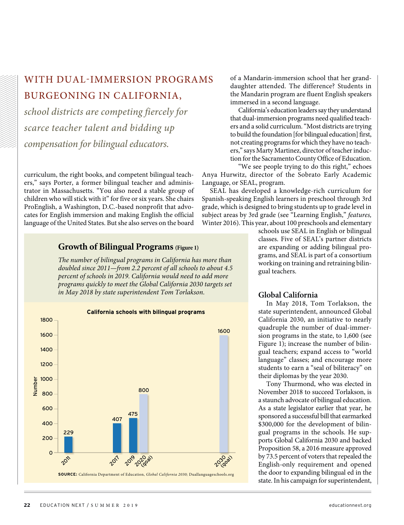# WITH DUAL-IMMERSION PROGRAMS BURGEONING IN CALIFORNIA,

*school districts are competing fiercely for scarce teacher talent and bidding up compensation for bilingual educators.*

curriculum, the right books, and competent bilingual teachers," says Porter, a former bilingual teacher and administrator in Massachusetts. "You also need a stable group of children who will stick with it" for five or six years. She chairs ProEnglish, a Washington, D.C.-based nonprofit that advocates for English immersion and making English the official language of the United States. But she also serves on the board

#### **Growth of Bilingual Programs (Figure 1)**

*The number of bilingual programs in California has more than doubled since 2011—from 2.2 percent of all schools to about 4.5 percent of schools in 2019. California would need to add more programs quickly to meet the Global California 2030 targets set in May 2018 by state superintendent Tom Torlakson.*

![](_page_4_Figure_5.jpeg)

of a Mandarin-immersion school that her granddaughter attended. The difference? Students in the Mandarin program are fluent English speakers immersed in a second language.

California's education leaders say they understand that dual-immersion programs need qualified teachers and a solid curriculum. "Most districts are trying to build the foundation [for bilingual education] first, not creating programs for which they have no teachers," says Marty Martinez, director of teacher induction for the Sacramento County Office of Education.

"We see people trying to do this right," echoes Anya Hurwitz, director of the Sobrato Early Academic Language, or SEAL, program.

SEAL has developed a knowledge-rich curriculum for Spanish-speaking English learners in preschool through 3rd grade, which is designed to bring students up to grade level in subject areas by 3rd grade (see "Learning English," *features,*  Winter 2016). This year, about 100 preschools and elementary

> schools use SEAL in English or bilingual classes. Five of SEAL's partner districts are expanding or adding bilingual programs, and SEAL is part of a consortium working on training and retraining bilingual teachers.

#### **Global California**

In May 2018, Tom Torlakson, the state superintendent, announced Global California 2030, an initiative to nearly quadruple the number of dual-immersion programs in the state, to 1,600 (see Figure 1); increase the number of bilingual teachers; expand access to "world language" classes; and encourage more students to earn a "seal of biliteracy" on their diplomas by the year 2030.

Tony Thurmond, who was elected in November 2018 to succeed Torlakson, is a staunch advocate of bilingual education. As a state legislator earlier that year, he sponsored a successful bill that earmarked \$300,000 for the development of bilingual programs in the schools. He supports Global California 2030 and backed Proposition 58, a 2016 measure approved by 73.5 percent of voters that repealed the English-only requirement and opened the door to expanding bilingual ed in the state. In his campaign for superintendent,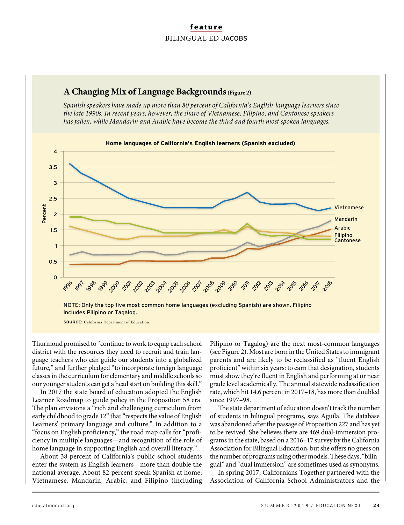![](_page_5_Figure_1.jpeg)

## **A Changing Mix of Language Backgrounds(Figure 2)**

*Spanish speakers have made up more than 80 percent of California's English-language learners since* 

Thurmond promised to "continue to work to equip each school district with the resources they need to recruit and train language teachers who can guide our students into a globalized future," and further pledged "to incorporate foreign language classes in the curriculum for elementary and middle schools so our younger students can get a head start on building this skill."

In 2017 the state board of education adopted the English Learner Roadmap to guide policy in the Proposition 58 era. The plan envisions a "rich and challenging curriculum from early childhood to grade 12" that "respects the value of English Learners' primary language and culture." In addition to a "focus on English proficiency," the road map calls for "proficiency in multiple languages—and recognition of the role of home language in supporting English and overall literacy."

About 38 percent of California's public-school students enter the system as English learners—more than double the national average. About 82 percent speak Spanish at home; Vietnamese, Mandarin, Arabic, and Filipino (including Pilipino or Tagalog) are the next most-common languages (see Figure 2). Most are born in the United States to immigrant parents and are likely to be reclassified as "fluent English proficient" within six years: to earn that designation, students must show they're fluent in English and performing at or near grade level academically. The annual statewide reclassification rate, which hit 14.6 percent in 2017–18, has more than doubled since 1997–98.

The state department of education doesn't track the number of students in bilingual programs, says Aguila. The database was abandoned after the passage of Proposition 227 and has yet to be revived. She believes there are 469 dual-immersion programs in the state, based on a 2016–17 survey by the California Association for Bilingual Education, but she offers no guess on the number of programs using other models. These days, "bilingual" and "dual immersion" are sometimes used as synonyms.

In spring 2017, Californians Together partnered with the Association of California School Administrators and the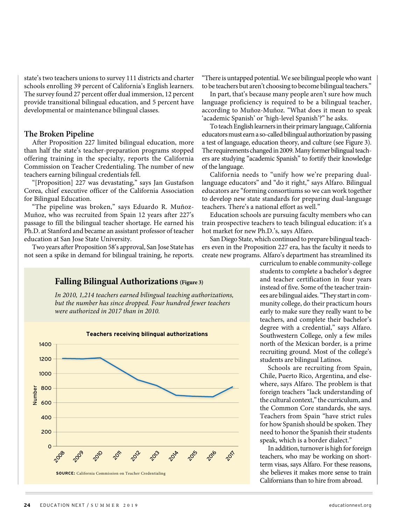state's two teachers unions to survey 111 districts and charter schools enrolling 39 percent of California's English learners. The survey found 27 percent offer dual immersion, 12 percent provide transitional bilingual education, and 5 percent have developmental or maintenance bilingual classes.

#### **The Broken Pipeline**

After Proposition 227 limited bilingual education, more than half the state's teacher-preparation programs stopped offering training in the specialty, reports the California Commission on Teacher Credentialing. The number of new teachers earning bilingual credentials fell.

"[Proposition] 227 was devastating," says Jan Gustafson Corea, chief executive officer of the California Association for Bilingual Education.

"The pipeline was broken," says Eduardo R. Muñoz-Muñoz, who was recruited from Spain 12 years after 227's passage to fill the bilingual teacher shortage. He earned his Ph.D. at Stanford and became an assistant professor of teacher education at San Jose State University.

Two years after Proposition 58's approval, San Jose State has not seen a spike in demand for bilingual training, he reports.

## **Falling Bilingual Authorizations (Figure 3)**

*In 2010, 1,214 teachers earned bilingual teaching authorizations, but the number has since dropped. Four hundred fewer teachers were authorized in 2017 than in 2010.* 

![](_page_6_Figure_8.jpeg)

"There is untapped potential. We see bilingual people who want to be teachers but aren't choosing to become bilingual teachers."

In part, that's because many people aren't sure how much language proficiency is required to be a bilingual teacher, according to Muñoz-Muñoz. "What does it mean to speak 'academic Spanish' or 'high-level Spanish'?" he asks.

To teach English learners in their primary language, California educators must earn a so-called bilingual authorization by passing a test of language, education theory, and culture (see Figure 3). The requirements changed in 2009. Many former bilingual teachers are studying "academic Spanish" to fortify their knowledge of the language.

California needs to "unify how we're preparing duallanguage educators" and "do it right," says Alfaro. Bilingual educators are "forming consortiums so we can work together to develop new state standards for preparing dual-language teachers. There's a national effort as well."

Education schools are pursuing faculty members who can train prospective teachers to teach bilingual education: it's a hot market for new Ph.D.'s, says Alfaro.

San Diego State, which continued to prepare bilingual teachers even in the Proposition 227 era, has the faculty it needs to create new programs. Alfaro's department has streamlined its

> curriculum to enable community-college students to complete a bachelor's degree and teacher certification in four years instead of five. Some of the teacher trainees are bilingual aides. "They start in community college, do their practicum hours early to make sure they really want to be teachers, and complete their bachelor's degree with a credential," says Alfaro. Southwestern College, only a few miles north of the Mexican border, is a prime recruiting ground. Most of the college's students are bilingual Latinos.

> Schools are recruiting from Spain, Chile, Puerto Rico, Argentina, and elsewhere, says Alfaro. The problem is that foreign teachers "lack understanding of the cultural context," the curriculum, and the Common Core standards, she says. Teachers from Spain "have strict rules for how Spanish should be spoken. They need to honor the Spanish their students speak, which is a border dialect."

> In addition, turnover is high for foreign teachers, who may be working on shortterm visas, says Alfaro. For these reasons, she believes it makes more sense to train Californians than to hire from abroad.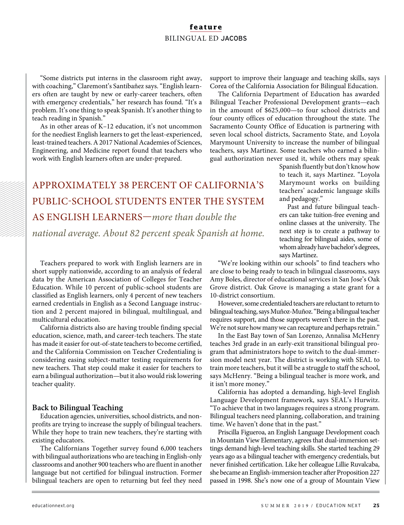"Some districts put interns in the classroom right away, with coaching," Claremont's Santibañez says. "English learners often are taught by new or early-career teachers, often with emergency credentials," her research has found. "It's a problem. It's one thing to speak Spanish. It's another thing to teach reading in Spanish."

As in other areas of K–12 education, it's not uncommon for the neediest English learners to get the least-experienced, least-trained teachers. A 2017 National Academies of Sciences, Engineering, and Medicine report found that teachers who work with English learners often are under-prepared.

support to improve their language and teaching skills, says Corea of the California Association for Bilingual Education.

The California Department of Education has awarded Bilingual Teacher Professional Development grants—each in the amount of \$625,000—to four school districts and four county offices of education throughout the state. The Sacramento County Office of Education is partnering with seven local school districts, Sacramento State, and Loyola Marymount University to increase the number of bilingual teachers, says Martinez. Some teachers who earned a bilingual authorization never used it, while others may speak

# APPROXIMATELY 38 PERCENT OF CALIFORNIA'S PUBLIC-SCHOOL STUDENTS ENTER THE SYSTEM AS ENGLISH LEARNERS—*more than double the*

*national average. About 82 percent speak Spanish at home.*

Teachers prepared to work with English learners are in short supply nationwide, according to an analysis of federal data by the American Association of Colleges for Teacher Education. While 10 percent of public-school students are classified as English learners, only 4 percent of new teachers earned credentials in English as a Second Language instruction and 2 percent majored in bilingual, multilingual, and multicultural education.

California districts also are having trouble finding special education, science, math, and career-tech teachers. The state has made it easier for out-of-state teachers to become certified, and the California Commission on Teacher Credentialing is considering easing subject-matter testing requirements for new teachers. That step could make it easier for teachers to earn a bilingual authorization—but it also would risk lowering teacher quality.

#### **Back to Bilingual Teaching**

Education agencies, universities, school districts, and nonprofits are trying to increase the supply of bilingual teachers. While they hope to train new teachers, they're starting with existing educators.

The Californians Together survey found 6,000 teachers with bilingual authorizations who are teaching in English-only classrooms and another 900 teachers who are fluent in another language but not certified for bilingual instruction. Former bilingual teachers are open to returning but feel they need

Spanish fluently but don't know how to teach it, says Martinez. "Loyola Marymount works on building teachers' academic language skills and pedagogy."

Past and future bilingual teachers can take tuition-free evening and online classes at the university. The next step is to create a pathway to teaching for bilingual aides, some of whom already have bachelor's degrees, says Martinez.

"We're looking within our schools" to find teachers who are close to being ready to teach in bilingual classrooms, says Amy Boles, director of educational services in San Jose's Oak Grove district. Oak Grove is managing a state grant for a 10-district consortium.

However, some credentialed teachers are reluctant to return to bilingual teaching, says Muñoz-Muñoz. "Being a bilingual teacher requires support, and those supports weren't there in the past. We're not sure how many we can recapture and perhaps retrain."

In the East Bay town of San Lorenzo, Annalisa McHenry teaches 3rd grade in an early-exit transitional bilingual program that administrators hope to switch to the dual-immersion model next year. The district is working with SEAL to train more teachers, but it will be a struggle to staff the school, says McHenry. "Being a bilingual teacher is more work, and it isn't more money."

California has adopted a demanding, high-level English Language Development framework, says SEAL's Hurwitz. "To achieve that in two languages requires a strong program. Bilingual teachers need planning, collaboration, and training time. We haven't done that in the past."

Priscilla Figueroa, an English Language Development coach in Mountain View Elementary, agrees that dual-immersion settings demand high-level teaching skills. She started teaching 29 years ago as a bilingual teacher with emergency credentials, but never finished certification. Like her colleague Lillie Ruvalcaba, she became an English-immersion teacher after Proposition 227 passed in 1998. She's now one of a group of Mountain View